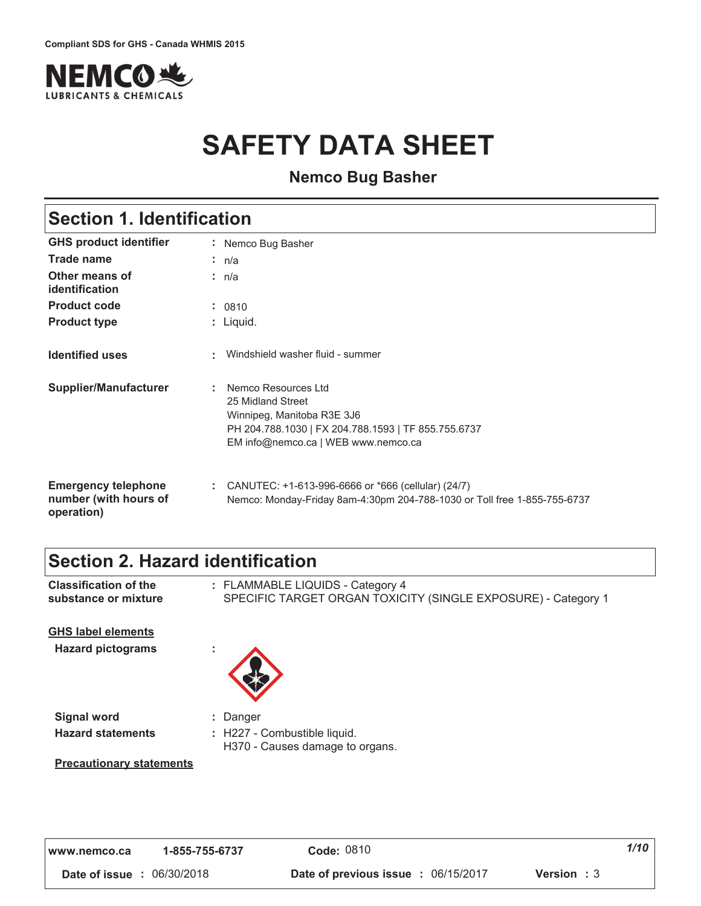

# **SAFETY DATA SHEET**

**Nemco Bug Basher** 

## **Section 1. Identification**

| <b>GHS product identifier</b>                                     |    | : Nemco Bug Basher                                                                                                                                                   |
|-------------------------------------------------------------------|----|----------------------------------------------------------------------------------------------------------------------------------------------------------------------|
| <b>Trade name</b>                                                 |    | : $n/a$                                                                                                                                                              |
| Other means of<br>identification                                  |    | : $n/a$                                                                                                                                                              |
| <b>Product code</b>                                               |    | : 0810                                                                                                                                                               |
| <b>Product type</b>                                               |    | : Liquid.                                                                                                                                                            |
| <b>Identified uses</b>                                            |    | : Windshield washer fluid - summer                                                                                                                                   |
| <b>Supplier/Manufacturer</b>                                      | ÷. | Nemco Resources Ltd<br>25 Midland Street<br>Winnipeg, Manitoba R3E 3J6<br>PH 204.788.1030   FX 204.788.1593   TF 855.755.6737<br>EM info@nemco.ca   WEB www.nemco.ca |
| <b>Emergency telephone</b><br>number (with hours of<br>operation) |    | : CANUTEC: $+1-613-996-6666$ or $*666$ (cellular) (24/7)<br>Nemco: Monday-Friday 8am-4:30pm 204-788-1030 or Toll free 1-855-755-6737                                 |

### **Section 2. Hazard identification**

| <b>Classification of the</b><br>substance or mixture  | : FLAMMABLE LIQUIDS - Category 4<br>SPECIFIC TARGET ORGAN TOXICITY (SINGLE EXPOSURE) - Category 1 |
|-------------------------------------------------------|---------------------------------------------------------------------------------------------------|
| <b>GHS label elements</b><br><b>Hazard pictograms</b> | ×.                                                                                                |
| <b>Signal word</b>                                    | : Danger                                                                                          |
| <b>Hazard statements</b>                              | : H227 - Combustible liquid.<br>H370 - Causes damage to organs.                                   |
| <b>Precautionary statements</b>                       |                                                                                                   |
|                                                       |                                                                                                   |
|                                                       |                                                                                                   |

| www.nemco.ca                      | 1-855-755-6737 | Code: 0810                                 | 1/10               |
|-----------------------------------|----------------|--------------------------------------------|--------------------|
| <b>Date of issue : 06/30/2018</b> |                | <b>Date of previous issue : 06/15/2017</b> | <b>Version</b> : 3 |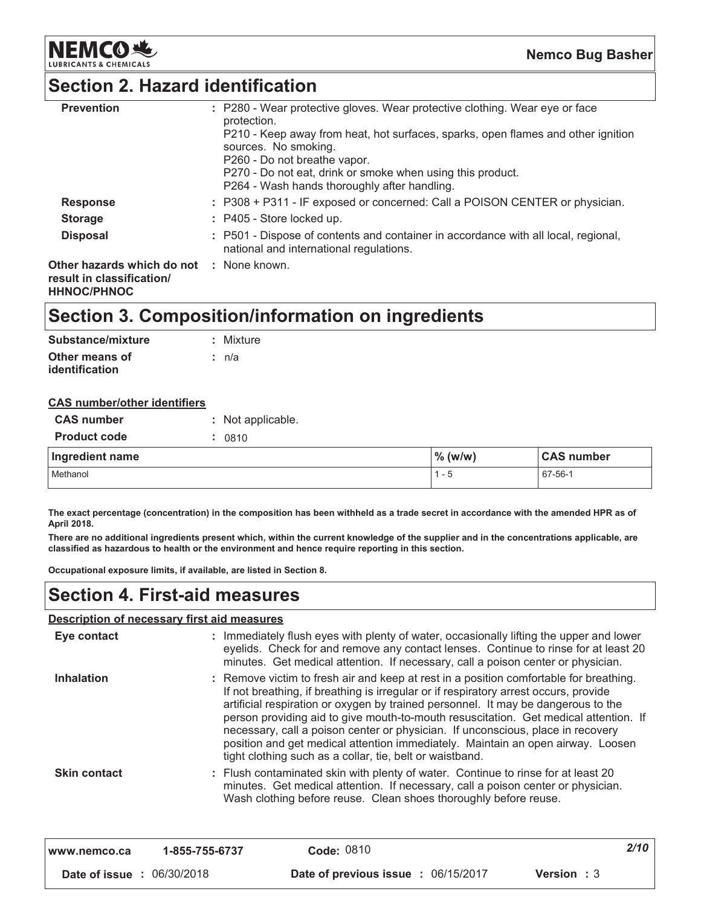

### **Section 2. Hazard identification**

| <b>Prevention</b>                                       | : P280 - Wear protective gloves. Wear protective clothing. Wear eye or face<br>protection.<br>P210 - Keep away from heat, hot surfaces, sparks, open flames and other ignition<br>sources. No smoking.<br>P260 - Do not breathe vapor.<br>P270 - Do not eat, drink or smoke when using this product.<br>P264 - Wash hands thoroughly after handling. |
|---------------------------------------------------------|------------------------------------------------------------------------------------------------------------------------------------------------------------------------------------------------------------------------------------------------------------------------------------------------------------------------------------------------------|
| <b>Response</b>                                         | : P308 + P311 - IF exposed or concerned: Call a POISON CENTER or physician.                                                                                                                                                                                                                                                                          |
| <b>Storage</b>                                          | : P405 - Store locked up.                                                                                                                                                                                                                                                                                                                            |
| <b>Disposal</b>                                         | : P501 - Dispose of contents and container in accordance with all local, regional,<br>national and international regulations.                                                                                                                                                                                                                        |
| Other hazards which do not<br>result in classification/ | : None known.                                                                                                                                                                                                                                                                                                                                        |

**HHNOC/PHNOC** 

### Section 3. Composition/information on ingredients

| Substance/mixture | : Mixture |
|-------------------|-----------|
| Other means of    | ∶ n/a     |
| identification    |           |

#### **CAS number/other identifiers**

| <b>CAS number</b>   | : Not applicable. |            |                   |
|---------------------|-------------------|------------|-------------------|
| <b>Product code</b> | 0810              |            |                   |
|                     |                   |            |                   |
| Ingredient name     |                   | $\%$ (w/w) | <b>CAS number</b> |

The exact percentage (concentration) in the composition has been withheld as a trade secret in accordance with the amended HPR as of April 2018.

There are no additional ingredients present which, within the current knowledge of the supplier and in the concentrations applicable, are classified as hazardous to health or the environment and hence require reporting in this section.

Occupational exposure limits, if available, are listed in Section 8.

### **Section 4. First-aid measures**

#### Description of necessary first aid measures

| www.nemco.ca        | 1-855-755-6737 | Code: 0810                                                                                                                                                                                                                                                                                                                                                                                                                                                                                                                                                                                    | 2/10 |
|---------------------|----------------|-----------------------------------------------------------------------------------------------------------------------------------------------------------------------------------------------------------------------------------------------------------------------------------------------------------------------------------------------------------------------------------------------------------------------------------------------------------------------------------------------------------------------------------------------------------------------------------------------|------|
| <b>Skin contact</b> |                | : Flush contaminated skin with plenty of water. Continue to rinse for at least 20<br>minutes. Get medical attention. If necessary, call a poison center or physician.<br>Wash clothing before reuse. Clean shoes thoroughly before reuse.                                                                                                                                                                                                                                                                                                                                                     |      |
| <b>Inhalation</b>   |                | : Remove victim to fresh air and keep at rest in a position comfortable for breathing.<br>If not breathing, if breathing is irregular or if respiratory arrest occurs, provide<br>artificial respiration or oxygen by trained personnel. It may be dangerous to the<br>person providing aid to give mouth-to-mouth resuscitation. Get medical attention. If<br>necessary, call a poison center or physician. If unconscious, place in recovery<br>position and get medical attention immediately. Maintain an open airway. Loosen<br>tight clothing such as a collar, tie, belt or waistband. |      |
| Eye contact         |                | : Immediately flush eyes with plenty of water, occasionally lifting the upper and lower<br>eyelids. Check for and remove any contact lenses. Continue to rinse for at least 20<br>minutes. Get medical attention. If necessary, call a poison center or physician.                                                                                                                                                                                                                                                                                                                            |      |
|                     |                |                                                                                                                                                                                                                                                                                                                                                                                                                                                                                                                                                                                               |      |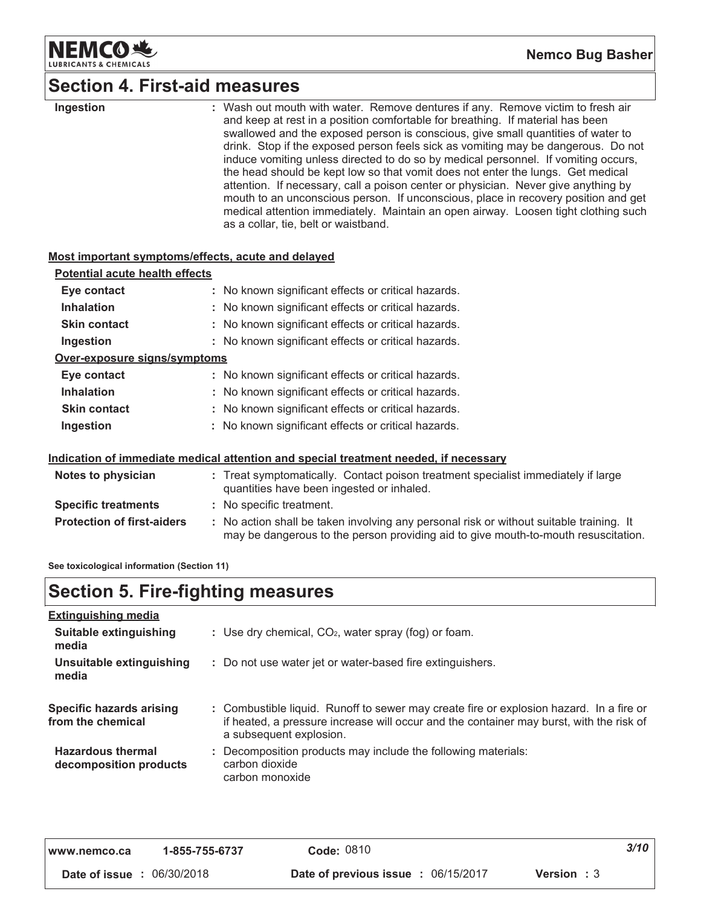

### **Section 4. First-aid measures**

| Ingestion                                          | : Wash out mouth with water. Remove dentures if any. Remove victim to fresh air<br>and keep at rest in a position comfortable for breathing. If material has been<br>swallowed and the exposed person is conscious, give small quantities of water to<br>drink. Stop if the exposed person feels sick as vomiting may be dangerous. Do not<br>induce vomiting unless directed to do so by medical personnel. If vomiting occurs,<br>the head should be kept low so that vomit does not enter the lungs. Get medical<br>attention. If necessary, call a poison center or physician. Never give anything by<br>mouth to an unconscious person. If unconscious, place in recovery position and get<br>medical attention immediately. Maintain an open airway. Loosen tight clothing such<br>as a collar, tie, belt or waistband. |
|----------------------------------------------------|-------------------------------------------------------------------------------------------------------------------------------------------------------------------------------------------------------------------------------------------------------------------------------------------------------------------------------------------------------------------------------------------------------------------------------------------------------------------------------------------------------------------------------------------------------------------------------------------------------------------------------------------------------------------------------------------------------------------------------------------------------------------------------------------------------------------------------|
| Most important symptoms/effects, acute and delayed |                                                                                                                                                                                                                                                                                                                                                                                                                                                                                                                                                                                                                                                                                                                                                                                                                               |
| <b>Potential acute health effects</b>              |                                                                                                                                                                                                                                                                                                                                                                                                                                                                                                                                                                                                                                                                                                                                                                                                                               |
| Eye contact                                        | : No known significant effects or critical hazards.                                                                                                                                                                                                                                                                                                                                                                                                                                                                                                                                                                                                                                                                                                                                                                           |
| <b>Inhalation</b>                                  | : No known significant effects or critical hazards.                                                                                                                                                                                                                                                                                                                                                                                                                                                                                                                                                                                                                                                                                                                                                                           |
| <b>Skin contact</b>                                | : No known significant effects or critical hazards.                                                                                                                                                                                                                                                                                                                                                                                                                                                                                                                                                                                                                                                                                                                                                                           |
| Ingestion                                          | : No known significant effects or critical hazards.                                                                                                                                                                                                                                                                                                                                                                                                                                                                                                                                                                                                                                                                                                                                                                           |
| Over-exposure signs/symptoms                       |                                                                                                                                                                                                                                                                                                                                                                                                                                                                                                                                                                                                                                                                                                                                                                                                                               |
| Eye contact                                        | : No known significant effects or critical hazards.                                                                                                                                                                                                                                                                                                                                                                                                                                                                                                                                                                                                                                                                                                                                                                           |
| <b>Inhalation</b>                                  | : No known significant effects or critical hazards.                                                                                                                                                                                                                                                                                                                                                                                                                                                                                                                                                                                                                                                                                                                                                                           |
| <b>Skin contact</b>                                | : No known significant effects or critical hazards.                                                                                                                                                                                                                                                                                                                                                                                                                                                                                                                                                                                                                                                                                                                                                                           |
| Ingestion                                          | : No known significant effects or critical hazards.                                                                                                                                                                                                                                                                                                                                                                                                                                                                                                                                                                                                                                                                                                                                                                           |
|                                                    | Indication of immediate medical attention and special treatment needed, if necessary                                                                                                                                                                                                                                                                                                                                                                                                                                                                                                                                                                                                                                                                                                                                          |
| Notes to physician                                 | : Treat symptomatically. Contact poison treatment specialist immediately if large<br>quantities have been ingested or inhaled.                                                                                                                                                                                                                                                                                                                                                                                                                                                                                                                                                                                                                                                                                                |
| <b>Specific treatments</b>                         | : No specific treatment.                                                                                                                                                                                                                                                                                                                                                                                                                                                                                                                                                                                                                                                                                                                                                                                                      |
| <b>Protection of first-aiders</b>                  | : No action shall be taken involving any personal risk or without suitable training. It<br>may be dangerous to the person providing aid to give mouth-to-mouth resuscitation.                                                                                                                                                                                                                                                                                                                                                                                                                                                                                                                                                                                                                                                 |

See toxicological information (Section 11)

## **Section 5. Fire-fighting measures**

| <b>Extinguishing media</b>                           |                                                                                                                                                                                                               |
|------------------------------------------------------|---------------------------------------------------------------------------------------------------------------------------------------------------------------------------------------------------------------|
| Suitable extinguishing<br>media                      | : Use dry chemical, $CO2$ , water spray (fog) or foam.                                                                                                                                                        |
| Unsuitable extinguishing<br>media                    | : Do not use water jet or water-based fire extinguishers.                                                                                                                                                     |
| <b>Specific hazards arising</b><br>from the chemical | : Combustible liquid. Runoff to sewer may create fire or explosion hazard. In a fire or<br>if heated, a pressure increase will occur and the container may burst, with the risk of<br>a subsequent explosion. |
| <b>Hazardous thermal</b><br>decomposition products   | : Decomposition products may include the following materials:<br>carbon dioxide<br>carbon monoxide                                                                                                            |

| l www.nemco.ca                    | 1-855-755-6737 | Code: 0810                                                       | 3/10 |
|-----------------------------------|----------------|------------------------------------------------------------------|------|
| <b>Date of issue : 06/30/2018</b> |                | <b>Date of previous issue : 06/15/2017</b><br><b>Version</b> : 3 |      |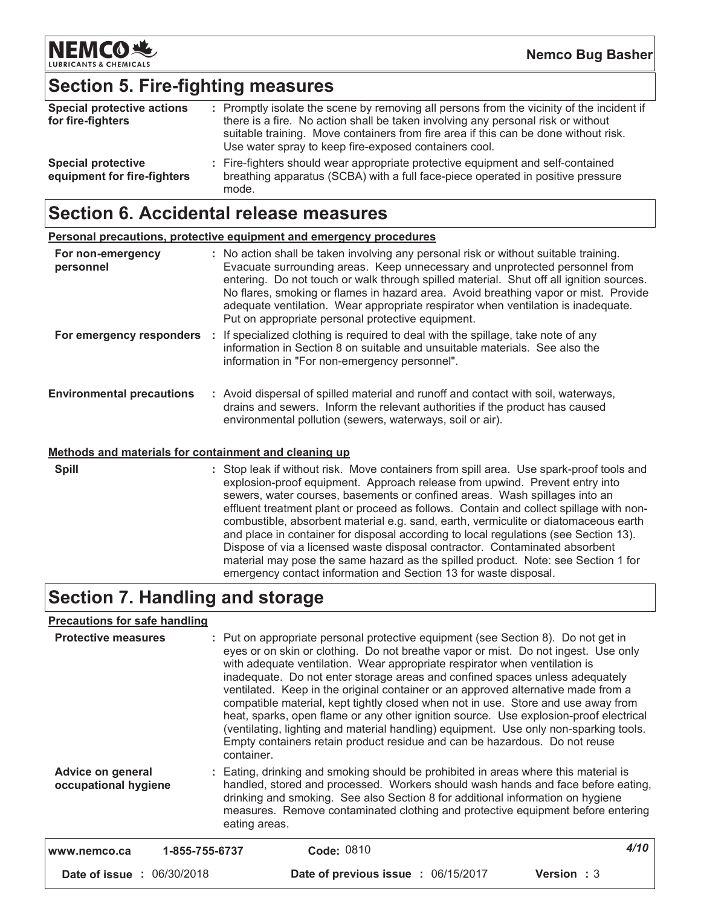

## **Section 5. Fire-fighting measures**

| <b>Special protective actions</b><br>for fire-fighters   | : Promptly isolate the scene by removing all persons from the vicinity of the incident if<br>there is a fire. No action shall be taken involving any personal risk or without<br>suitable training. Move containers from fire area if this can be done without risk.<br>Use water spray to keep fire-exposed containers cool. |
|----------------------------------------------------------|-------------------------------------------------------------------------------------------------------------------------------------------------------------------------------------------------------------------------------------------------------------------------------------------------------------------------------|
| <b>Special protective</b><br>equipment for fire-fighters | : Fire-fighters should wear appropriate protective equipment and self-contained<br>breathing apparatus (SCBA) with a full face-piece operated in positive pressure<br>mode.                                                                                                                                                   |

### **Section 6. Accidental release measures**

|                                  | Personal precautions, protective equipment and emergency procedures                                                                                                                                                                                                                                                                                                                                                                                                                             |
|----------------------------------|-------------------------------------------------------------------------------------------------------------------------------------------------------------------------------------------------------------------------------------------------------------------------------------------------------------------------------------------------------------------------------------------------------------------------------------------------------------------------------------------------|
| For non-emergency<br>personnel   | : No action shall be taken involving any personal risk or without suitable training.<br>Evacuate surrounding areas. Keep unnecessary and unprotected personnel from<br>entering. Do not touch or walk through spilled material. Shut off all ignition sources.<br>No flares, smoking or flames in hazard area. Avoid breathing vapor or mist. Provide<br>adequate ventilation. Wear appropriate respirator when ventilation is inadequate.<br>Put on appropriate personal protective equipment. |
| For emergency responders         | If specialized clothing is required to deal with the spillage, take note of any<br>÷.<br>information in Section 8 on suitable and unsuitable materials. See also the<br>information in "For non-emergency personnel".                                                                                                                                                                                                                                                                           |
| <b>Environmental precautions</b> | : Avoid dispersal of spilled material and runoff and contact with soil, waterways,<br>drains and sewers. Inform the relevant authorities if the product has caused<br>environmental pollution (sewers, waterways, soil or air).                                                                                                                                                                                                                                                                 |
|                                  |                                                                                                                                                                                                                                                                                                                                                                                                                                                                                                 |

#### Methods and materials for containment and cleaning up

**Spill** : Stop leak if without risk. Move containers from spill area. Use spark-proof tools and explosion-proof equipment. Approach release from upwind. Prevent entry into sewers, water courses, basements or confined areas. Wash spillages into an effluent treatment plant or proceed as follows. Contain and collect spillage with noncombustible, absorbent material e.g. sand, earth, vermiculite or diatomaceous earth and place in container for disposal according to local regulations (see Section 13). Dispose of via a licensed waste disposal contractor. Contaminated absorbent material may pose the same hazard as the spilled product. Note: see Section 1 for emergency contact information and Section 13 for waste disposal.

### Section 7. Handling and storage

#### Precautions for safe handling

| <b>Protective measures</b>                       | container.     | : Put on appropriate personal protective equipment (see Section 8). Do not get in<br>eyes or on skin or clothing. Do not breathe vapor or mist. Do not ingest. Use only<br>with adequate ventilation. Wear appropriate respirator when ventilation is<br>inadequate. Do not enter storage areas and confined spaces unless adequately<br>ventilated. Keep in the original container or an approved alternative made from a<br>compatible material, kept tightly closed when not in use. Store and use away from<br>heat, sparks, open flame or any other ignition source. Use explosion-proof electrical<br>(ventilating, lighting and material handling) equipment. Use only non-sparking tools.<br>Empty containers retain product residue and can be hazardous. Do not reuse |             |
|--------------------------------------------------|----------------|---------------------------------------------------------------------------------------------------------------------------------------------------------------------------------------------------------------------------------------------------------------------------------------------------------------------------------------------------------------------------------------------------------------------------------------------------------------------------------------------------------------------------------------------------------------------------------------------------------------------------------------------------------------------------------------------------------------------------------------------------------------------------------|-------------|
| <b>Advice on general</b><br>occupational hygiene | eating areas.  | : Eating, drinking and smoking should be prohibited in areas where this material is<br>handled, stored and processed. Workers should wash hands and face before eating,<br>drinking and smoking. See also Section 8 for additional information on hygiene<br>measures. Remove contaminated clothing and protective equipment before entering                                                                                                                                                                                                                                                                                                                                                                                                                                    |             |
| www.nemco.ca                                     | 1-855-755-6737 | Code: 0810                                                                                                                                                                                                                                                                                                                                                                                                                                                                                                                                                                                                                                                                                                                                                                      | 4/10        |
| <b>Date of issue : 06/30/2018</b>                |                | <b>Date of previous issue : 06/15/2017</b>                                                                                                                                                                                                                                                                                                                                                                                                                                                                                                                                                                                                                                                                                                                                      | Version : 3 |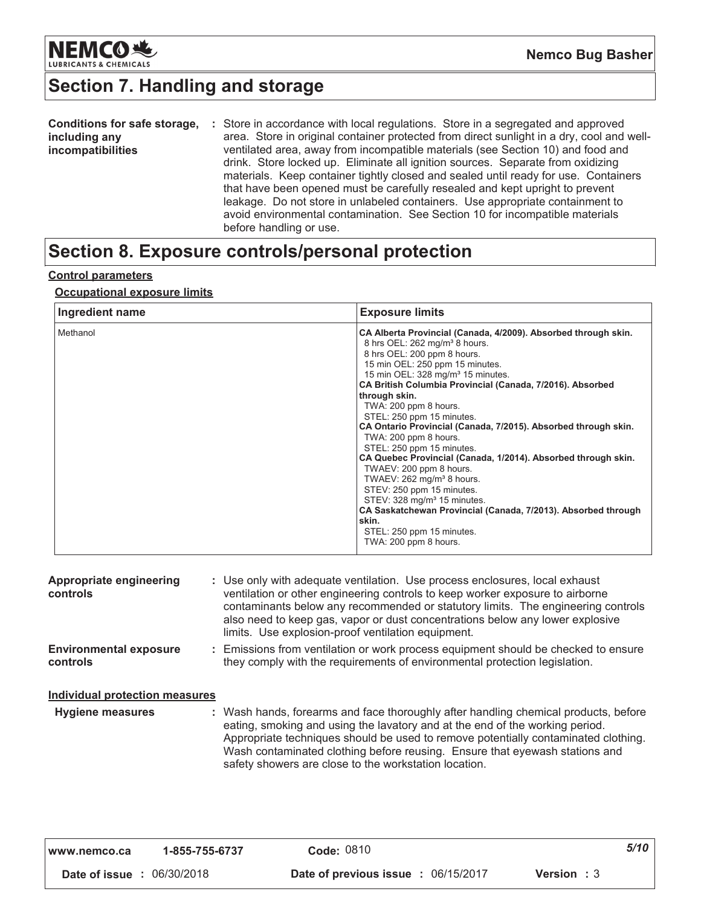

# Section 7. Handling and storage

| Conditions for safe storage, | : Store in accordance with local regulations. Store in a segregated and approved          |
|------------------------------|-------------------------------------------------------------------------------------------|
| including any                | area. Store in original container protected from direct sunlight in a dry, cool and well- |
| <i>incompatibilities</i>     | ventilated area, away from incompatible materials (see Section 10) and food and           |
|                              | drink. Store locked up. Eliminate all ignition sources. Separate from oxidizing           |
|                              | materials. Keep container tightly closed and sealed until ready for use. Containers       |
|                              | that have been opened must be carefully resealed and kept upright to prevent              |
|                              | leakage. Do not store in unlabeled containers. Use appropriate containment to             |
|                              | avoid environmental contamination. See Section 10 for incompatible materials              |
|                              | before handling or use.                                                                   |

### Section 8. Exposure controls/personal protection

### **Control parameters**

#### **Occupational exposure limits**

| Ingredient name | <b>Exposure limits</b>                                                                                                                                                                                                                                                                                                                                                                                                                                                                                                                                                                                                                                                                                                                                                                                                                  |
|-----------------|-----------------------------------------------------------------------------------------------------------------------------------------------------------------------------------------------------------------------------------------------------------------------------------------------------------------------------------------------------------------------------------------------------------------------------------------------------------------------------------------------------------------------------------------------------------------------------------------------------------------------------------------------------------------------------------------------------------------------------------------------------------------------------------------------------------------------------------------|
| Methanol        | CA Alberta Provincial (Canada, 4/2009). Absorbed through skin.<br>8 hrs OEL: 262 mg/m <sup>3</sup> 8 hours.<br>8 hrs OEL: 200 ppm 8 hours.<br>15 min OEL: 250 ppm 15 minutes.<br>15 min OEL: 328 mg/m <sup>3</sup> 15 minutes.<br>CA British Columbia Provincial (Canada, 7/2016). Absorbed<br>through skin.<br>TWA: 200 ppm 8 hours.<br>STEL: 250 ppm 15 minutes.<br>CA Ontario Provincial (Canada, 7/2015). Absorbed through skin.<br>TWA: 200 ppm 8 hours.<br>STEL: 250 ppm 15 minutes.<br>CA Quebec Provincial (Canada, 1/2014). Absorbed through skin.<br>TWAEV: 200 ppm 8 hours.<br>TWAEV: 262 mg/m <sup>3</sup> 8 hours.<br>STEV: 250 ppm 15 minutes.<br>STEV: 328 mg/m <sup>3</sup> 15 minutes.<br>CA Saskatchewan Provincial (Canada, 7/2013). Absorbed through<br>skin.<br>STEL: 250 ppm 15 minutes.<br>TWA: 200 ppm 8 hours. |

| Appropriate engineering<br>controls       | : Use only with adequate ventilation. Use process enclosures, local exhaust<br>ventilation or other engineering controls to keep worker exposure to airborne<br>contaminants below any recommended or statutory limits. The engineering controls<br>also need to keep gas, vapor or dust concentrations below any lower explosive<br>limits. Use explosion-proof ventilation equipment.           |
|-------------------------------------------|---------------------------------------------------------------------------------------------------------------------------------------------------------------------------------------------------------------------------------------------------------------------------------------------------------------------------------------------------------------------------------------------------|
| <b>Environmental exposure</b><br>controls | : Emissions from ventilation or work process equipment should be checked to ensure<br>they comply with the requirements of environmental protection legislation.                                                                                                                                                                                                                                  |
| Individual protection measures            |                                                                                                                                                                                                                                                                                                                                                                                                   |
| <b>Hygiene measures</b>                   | : Wash hands, forearms and face thoroughly after handling chemical products, before<br>eating, smoking and using the lavatory and at the end of the working period.<br>Appropriate techniques should be used to remove potentially contaminated clothing.<br>Wash contaminated clothing before reusing. Ensure that eyewash stations and<br>safety showers are close to the workstation location. |

| l www.nemco.ca                    | 1-855-755-6737 | Code: 0810                                 |                    | 5/10 |
|-----------------------------------|----------------|--------------------------------------------|--------------------|------|
| <b>Date of issue : 06/30/2018</b> |                | <b>Date of previous issue : 06/15/2017</b> | <b>Version</b> : 3 |      |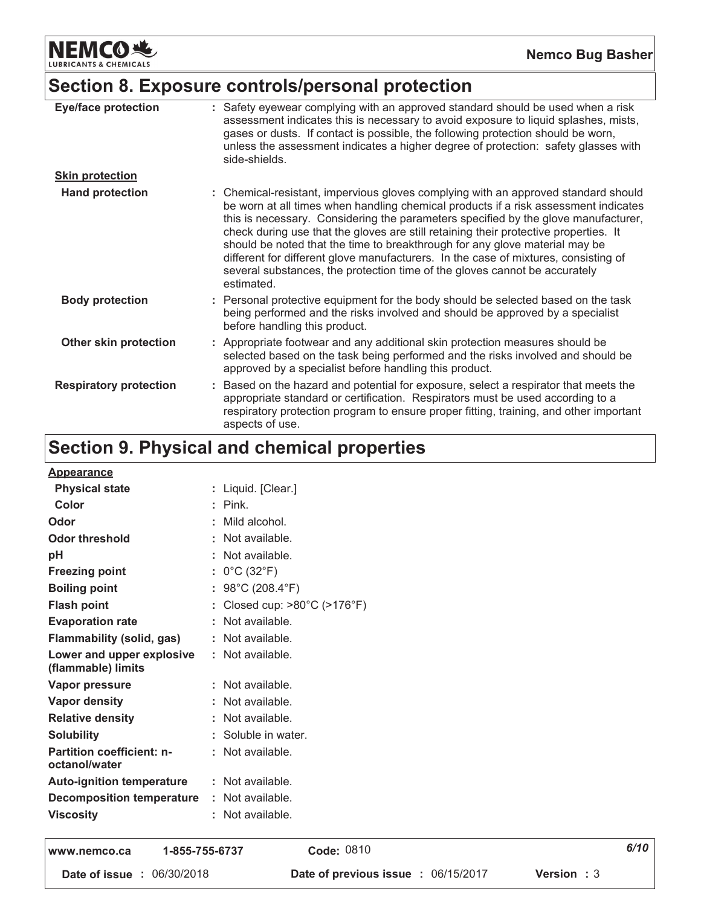**NEMCO头** & CHEMICALS LUBRIC.

### Section 8. Exposure controls/personal protection

| <b>Eye/face protection</b>    | : Safety eyewear complying with an approved standard should be used when a risk<br>assessment indicates this is necessary to avoid exposure to liquid splashes, mists,<br>gases or dusts. If contact is possible, the following protection should be worn,<br>unless the assessment indicates a higher degree of protection: safety glasses with<br>side-shields.                                                                                                                                                                                                                                                         |
|-------------------------------|---------------------------------------------------------------------------------------------------------------------------------------------------------------------------------------------------------------------------------------------------------------------------------------------------------------------------------------------------------------------------------------------------------------------------------------------------------------------------------------------------------------------------------------------------------------------------------------------------------------------------|
| <b>Skin protection</b>        |                                                                                                                                                                                                                                                                                                                                                                                                                                                                                                                                                                                                                           |
| <b>Hand protection</b>        | : Chemical-resistant, impervious gloves complying with an approved standard should<br>be worn at all times when handling chemical products if a risk assessment indicates<br>this is necessary. Considering the parameters specified by the glove manufacturer,<br>check during use that the gloves are still retaining their protective properties. It<br>should be noted that the time to breakthrough for any glove material may be<br>different for different glove manufacturers. In the case of mixtures, consisting of<br>several substances, the protection time of the gloves cannot be accurately<br>estimated. |
| <b>Body protection</b>        | : Personal protective equipment for the body should be selected based on the task<br>being performed and the risks involved and should be approved by a specialist<br>before handling this product.                                                                                                                                                                                                                                                                                                                                                                                                                       |
| Other skin protection         | : Appropriate footwear and any additional skin protection measures should be<br>selected based on the task being performed and the risks involved and should be<br>approved by a specialist before handling this product.                                                                                                                                                                                                                                                                                                                                                                                                 |
| <b>Respiratory protection</b> | Based on the hazard and potential for exposure, select a respirator that meets the<br>appropriate standard or certification. Respirators must be used according to a<br>respiratory protection program to ensure proper fitting, training, and other important<br>aspects of use.                                                                                                                                                                                                                                                                                                                                         |

## Section 9. Physical and chemical properties

| <b>Appearance</b>                               |                                       |
|-------------------------------------------------|---------------------------------------|
| <b>Physical state</b>                           | : Liquid. [Clear.]                    |
| Color                                           | $:$ Pink.                             |
| Odor                                            | : Mild alcohol.                       |
| <b>Odor threshold</b>                           | : Not available.                      |
| рH                                              | : Not available.                      |
| <b>Freezing point</b>                           | : $0^{\circ}$ C (32 $^{\circ}$ F)     |
| <b>Boiling point</b>                            | : $98^{\circ}$ C (208.4 $^{\circ}$ F) |
| <b>Flash point</b>                              | : Closed cup: >80°C (>176°F)          |
| <b>Evaporation rate</b>                         | $:$ Not available.                    |
| <b>Flammability (solid, gas)</b>                | : Not available.                      |
| Lower and upper explosive<br>(flammable) limits | : Not available.                      |
| <b>Vapor pressure</b>                           | : Not available.                      |
| <b>Vapor density</b>                            | : Not available.                      |
| <b>Relative density</b>                         | : Not available.                      |
| <b>Solubility</b>                               | : Soluble in water.                   |
| Partition coefficient: n-<br>octanol/water      | : Not available.                      |
| <b>Auto-ignition temperature</b>                | : Not available.                      |
| <b>Decomposition temperature</b>                | : Not available.                      |
| <b>Viscosity</b>                                | : Not available.                      |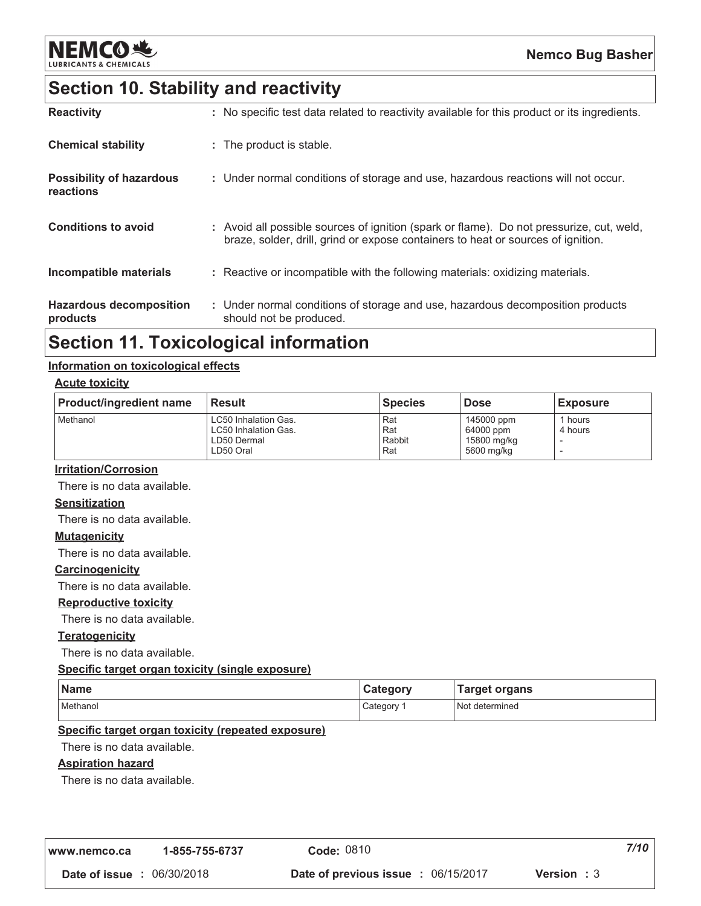

### **Section 10. Stability and reactivity**

| <b>Reactivity</b>                            | : No specific test data related to reactivity available for this product or its ingredients.                                                                                 |
|----------------------------------------------|------------------------------------------------------------------------------------------------------------------------------------------------------------------------------|
| <b>Chemical stability</b>                    | : The product is stable.                                                                                                                                                     |
| <b>Possibility of hazardous</b><br>reactions | : Under normal conditions of storage and use, hazardous reactions will not occur.                                                                                            |
| <b>Conditions to avoid</b>                   | : Avoid all possible sources of ignition (spark or flame). Do not pressurize, cut, weld,<br>braze, solder, drill, grind or expose containers to heat or sources of ignition. |
| Incompatible materials                       | : Reactive or incompatible with the following materials: oxidizing materials.                                                                                                |
| <b>Hazardous decomposition</b><br>products   | : Under normal conditions of storage and use, hazardous decomposition products<br>should not be produced.                                                                    |

### **Section 11. Toxicological information**

#### Information on toxicological effects

#### **Acute toxicity**

| <b>Product/ingredient name</b> | <b>Result</b>                                                            | <b>Species</b>              | <b>Dose</b>                                          | <b>Exposure</b>               |
|--------------------------------|--------------------------------------------------------------------------|-----------------------------|------------------------------------------------------|-------------------------------|
| Methanol                       | LC50 Inhalation Gas.<br>LC50 Inhalation Gas.<br>LD50 Dermal<br>LD50 Oral | Rat<br>Rat<br>Rabbit<br>Rat | 145000 ppm<br>64000 ppm<br>15800 mg/kg<br>5600 mg/kg | <sup>1</sup> hours<br>4 hours |

#### **Irritation/Corrosion**

There is no data available.

#### **Sensitization**

There is no data available.

#### **Mutagenicity**

There is no data available.

#### Carcinogenicity

There is no data available.

#### **Reproductive toxicity**

There is no data available.

#### **Teratogenicity**

There is no data available.

#### Specific target organ toxicity (single exposure)

| Name     | Category | <b>Target organs</b> |
|----------|----------|----------------------|
| Methanol | Category | Not determined       |

#### Specific target organ toxicity (repeated exposure)

There is no data available.

#### **Aspiration hazard**

There is no data available.

| www.nemco.ca                      | 1-855-755-6737 | Code: 0810                                 | 7/10               |
|-----------------------------------|----------------|--------------------------------------------|--------------------|
| <b>Date of issue : 06/30/2018</b> |                | <b>Date of previous issue : 06/15/2017</b> | <b>Version</b> : 3 |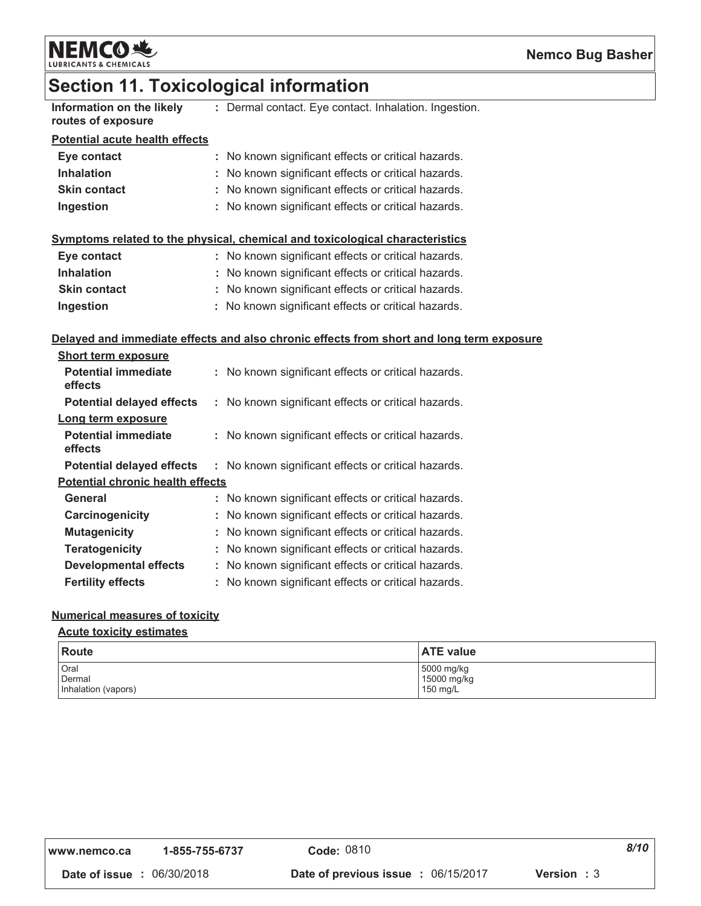

### **Section 11. Toxicological information**

| Information on the likely |  |
|---------------------------|--|
| routes of exposure        |  |

: Dermal contact. Eye contact. Inhalation. Ingestion.

#### **Potential acute health effects**

| Eye contact         | : No known significant effects or critical hazards. |
|---------------------|-----------------------------------------------------|
| <b>Inhalation</b>   | : No known significant effects or critical hazards. |
| <b>Skin contact</b> | : No known significant effects or critical hazards. |
| Ingestion           | : No known significant effects or critical hazards. |

### Symptoms related to the physical, chemical and toxicological characteristics

| Eye contact         | : No known significant effects or critical hazards. |
|---------------------|-----------------------------------------------------|
| <b>Inhalation</b>   | : No known significant effects or critical hazards. |
| <b>Skin contact</b> | : No known significant effects or critical hazards. |
| Ingestion           | : No known significant effects or critical hazards. |

#### Delayed and immediate effects and also chronic effects from short and long term exposure

| <b>Short term exposure</b>              |    |                                                     |
|-----------------------------------------|----|-----------------------------------------------------|
| <b>Potential immediate</b><br>effects   | ÷. | No known significant effects or critical hazards.   |
| <b>Potential delayed effects</b>        |    | : No known significant effects or critical hazards. |
| Long term exposure                      |    |                                                     |
| <b>Potential immediate</b><br>effects   |    | No known significant effects or critical hazards.   |
| <b>Potential delayed effects</b>        |    | : No known significant effects or critical hazards. |
| <b>Potential chronic health effects</b> |    |                                                     |
| General                                 |    | No known significant effects or critical hazards.   |
| Carcinogenicity                         |    | No known significant effects or critical hazards.   |
| <b>Mutagenicity</b>                     |    | No known significant effects or critical hazards.   |
| <b>Teratogenicity</b>                   |    | No known significant effects or critical hazards.   |
| <b>Developmental effects</b>            |    | No known significant effects or critical hazards.   |
| <b>Fertility effects</b>                |    | No known significant effects or critical hazards.   |

#### **Numerical measures of toxicity**

#### **Acute toxicity estimates**

| <b>Route</b>        | <b>ATE value</b> |
|---------------------|------------------|
| Oral                | 5000 mg/kg       |
| Dermal              | 15000 mg/kg      |
| Inhalation (vapors) | 150 mg/L         |

| www.nemco.ca | 1-855-755-6737 |
|--------------|----------------|
|--------------|----------------|

 $8/10$ 

Date of issue : 06/30/2018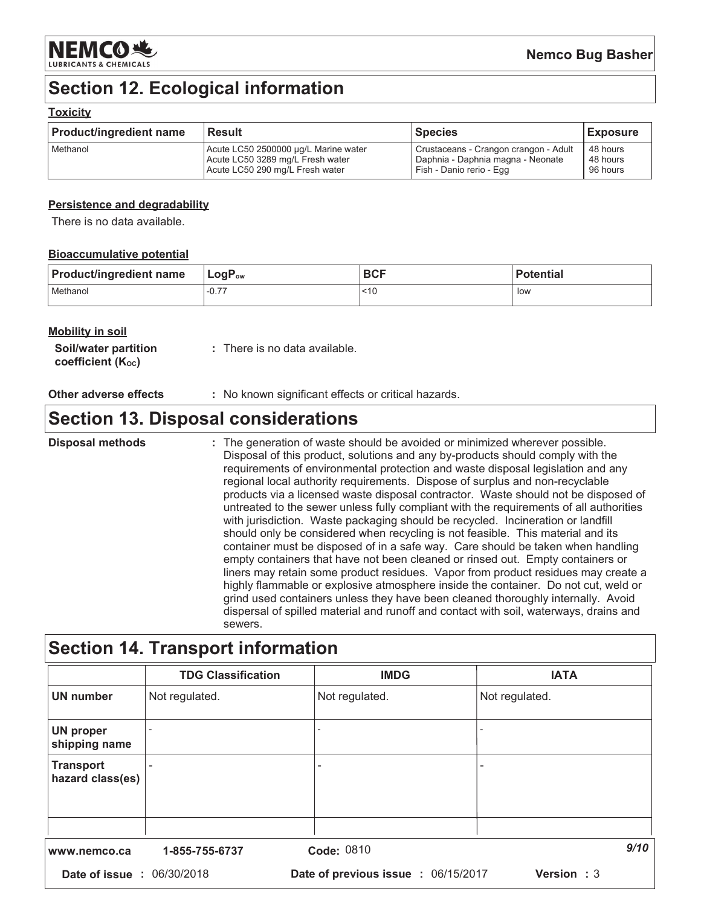

### **Section 12. Ecological information**

#### **Toxicity**

| <b>Product/ingredient name</b> | <b>Result</b>                        | Species                               | <b>Exposure</b> |
|--------------------------------|--------------------------------------|---------------------------------------|-----------------|
| Methanol                       | Acute LC50 2500000 µg/L Marine water | Crustaceans - Crangon crangon - Adult | 48 hours        |
|                                | Acute LC50 3289 mg/L Fresh water     | Daphnia - Daphnia magna - Neonate     | 48 hours        |
|                                | Acute LC50 290 mg/L Fresh water      | Fish - Danio rerio - Egg              | 96 hours        |

#### Persistence and degradability

There is no data available.

#### **Bioaccumulative potential**

| <b>Product/ingredient name</b> | $\mathsf{LogP}_\mathsf{ow}$ | <b>BCF</b> | <b>Potential</b> |
|--------------------------------|-----------------------------|------------|------------------|
| Methanol                       | .177<br>$-U_{\ell}$         | ~10        | low              |

#### **Mobility in soil**

| <b>Soil/water partition</b>   | : There is no data available. |
|-------------------------------|-------------------------------|
| coefficient $(K_{\text{oc}})$ |                               |

#### Other adverse effects : No known significant effects or critical hazards.

### **Section 13. Disposal considerations**

**Disposal methods** : The generation of waste should be avoided or minimized wherever possible. Disposal of this product, solutions and any by-products should comply with the requirements of environmental protection and waste disposal legislation and any regional local authority requirements. Dispose of surplus and non-recyclable products via a licensed waste disposal contractor. Waste should not be disposed of untreated to the sewer unless fully compliant with the requirements of all authorities with jurisdiction. Waste packaging should be recycled. Incineration or landfill should only be considered when recycling is not feasible. This material and its container must be disposed of in a safe way. Care should be taken when handling empty containers that have not been cleaned or rinsed out. Empty containers or liners may retain some product residues. Vapor from product residues may create a highly flammable or explosive atmosphere inside the container. Do not cut, weld or grind used containers unless they have been cleaned thoroughly internally. Avoid dispersal of spilled material and runoff and contact with soil, waterways, drains and sewers.

### **Section 14. Transport information**

|                                      | <b>TDG Classification</b> | <b>IMDG</b>                         | <b>IATA</b>       |
|--------------------------------------|---------------------------|-------------------------------------|-------------------|
| <b>UN number</b>                     | Not regulated.            | Not regulated.                      | Not regulated.    |
| <b>UN proper</b><br>shipping name    |                           |                                     |                   |
| <b>Transport</b><br>hazard class(es) |                           |                                     |                   |
|                                      |                           |                                     |                   |
| www.nemco.ca                         | 1-855-755-6737            | Code: 0810                          | 9/10              |
| Date of issue : 06/30/2018           |                           | Date of previous issue : 06/15/2017 | <b>Version: 3</b> |